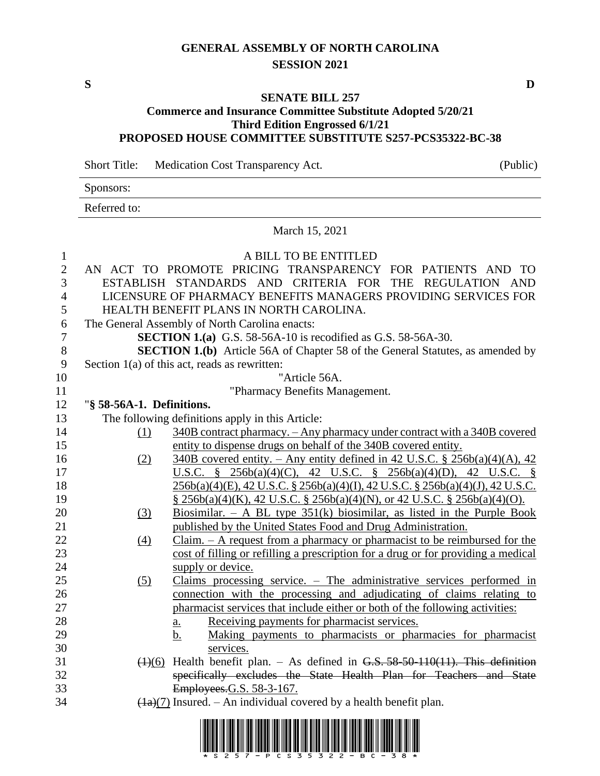# **GENERAL ASSEMBLY OF NORTH CAROLINA SESSION 2021**

## **SENATE BILL 257**

## **Commerce and Insurance Committee Substitute Adopted 5/20/21 Third Edition Engrossed 6/1/21 PROPOSED HOUSE COMMITTEE SUBSTITUTE S257-PCS35322-BC-38**

Short Title: Medication Cost Transparency Act. (Public)

Sponsors:

Referred to:

#### March 15, 2021

| $\mathbf{1}$   | A BILL TO BE ENTITLED     |                                                                                                                     |  |
|----------------|---------------------------|---------------------------------------------------------------------------------------------------------------------|--|
| $\mathbf{2}$   |                           | AN ACT TO PROMOTE PRICING TRANSPARENCY FOR PATIENTS AND TO                                                          |  |
| 3              |                           | ESTABLISH STANDARDS AND CRITERIA FOR THE REGULATION AND                                                             |  |
| $\overline{4}$ |                           | LICENSURE OF PHARMACY BENEFITS MANAGERS PROVIDING SERVICES FOR                                                      |  |
| 5              |                           | HEALTH BENEFIT PLANS IN NORTH CAROLINA.                                                                             |  |
| 6              |                           | The General Assembly of North Carolina enacts:                                                                      |  |
| $\tau$         |                           | <b>SECTION 1.(a)</b> G.S. 58-56A-10 is recodified as G.S. 58-56A-30.                                                |  |
| $8\,$          |                           | <b>SECTION 1.(b)</b> Article 56A of Chapter 58 of the General Statutes, as amended by                               |  |
| 9              |                           | Section $1(a)$ of this act, reads as rewritten:                                                                     |  |
| 10             |                           | "Article 56A.                                                                                                       |  |
| 11             |                           | "Pharmacy Benefits Management.                                                                                      |  |
| 12             | "§ 58-56A-1. Definitions. |                                                                                                                     |  |
| 13             |                           | The following definitions apply in this Article:                                                                    |  |
| 14             | (1)                       | 340B contract pharmacy. - Any pharmacy under contract with a 340B covered                                           |  |
| 15             |                           | entity to dispense drugs on behalf of the 340B covered entity.                                                      |  |
| 16             | (2)                       | $340B$ covered entity. – Any entity defined in 42 U.S.C. § 256b(a)(4)(A), 42                                        |  |
| 17             |                           | U.S.C. § 256b(a)(4)(C), 42 U.S.C. § 256b(a)(4)(D), 42 U.S.C. §                                                      |  |
| 18             |                           | 256b(a)(4)(E), 42 U.S.C. § 256b(a)(4)(I), 42 U.S.C. § 256b(a)(4)(J), 42 U.S.C.                                      |  |
| 19             |                           | $\S$ 256b(a)(4)(K), 42 U.S.C. $\S$ 256b(a)(4)(N), or 42 U.S.C. $\S$ 256b(a)(4)(O).                                  |  |
| 20             | (3)                       | Biosimilar. – A BL type $351(k)$ biosimilar, as listed in the Purple Book                                           |  |
| 21             |                           | published by the United States Food and Drug Administration.                                                        |  |
| 22             | $\left(4\right)$          | $Claim. - A request from a pharmacy or pharmacist to be reimburred for the$                                         |  |
| 23             |                           | cost of filling or refilling a prescription for a drug or for providing a medical                                   |  |
| 24             |                           | supply or device.                                                                                                   |  |
| 25             | (5)                       | Claims processing service. $-$ The administrative services performed in                                             |  |
| 26             |                           | connection with the processing and adjudicating of claims relating to                                               |  |
| 27             |                           | pharmacist services that include either or both of the following activities:                                        |  |
| 28             |                           | Receiving payments for pharmacist services.<br>$\underline{\mathbf{a}}$ .                                           |  |
| 29             |                           | Making payments to pharmacists or pharmacies for pharmacist<br>b.                                                   |  |
| 30             |                           | services.                                                                                                           |  |
| 31             |                           | $(4)(6)$ Health benefit plan. – As defined in G.S. 58-50-110(11). This definition                                   |  |
| 32             |                           | specifically excludes the State Health Plan for Teachers and State                                                  |  |
| 33             |                           | Employees.G.S. 58-3-167.                                                                                            |  |
| 34             |                           | $\frac{1}{2}$ (1a)(7) Insured. – An individual covered by a health benefit plan.                                    |  |
|                |                           | <u>I INNISIA DE DEN KOD INN DE DENGA DAN DIA 1988 DAN KONG ADAK DAN DALA DA DANA DANA DI DANA DIA DARI DADI ANG</u> |  |

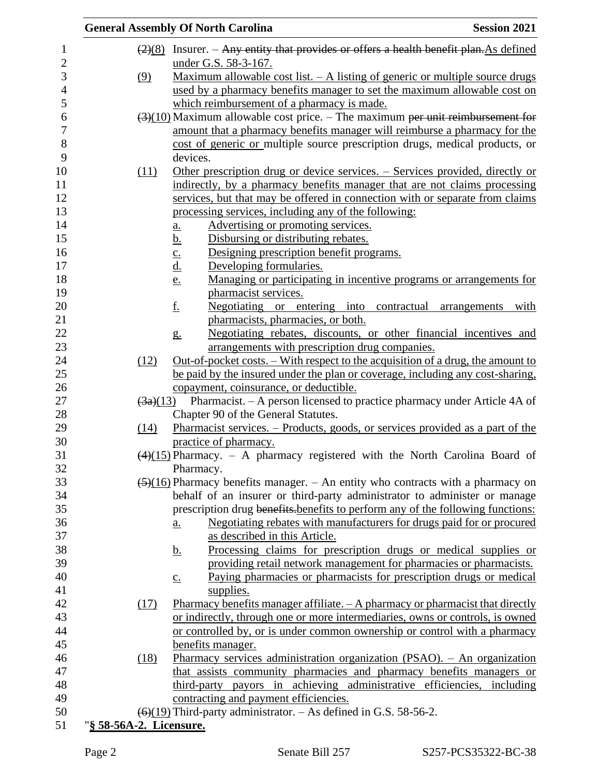|                         | <b>Session 2021</b><br><b>General Assembly Of North Carolina</b>                                                                                                                                                                                                               |
|-------------------------|--------------------------------------------------------------------------------------------------------------------------------------------------------------------------------------------------------------------------------------------------------------------------------|
|                         | $\frac{2}{8}$ Insurer. – Any entity that provides or offers a health benefit plan. As defined                                                                                                                                                                                  |
|                         | under G.S. 58-3-167.                                                                                                                                                                                                                                                           |
| (9)                     | <u>Maximum allowable cost list. <math>-</math> A listing of generic or multiple source drugs</u>                                                                                                                                                                               |
|                         | used by a pharmacy benefits manager to set the maximum allowable cost on                                                                                                                                                                                                       |
|                         | which reimbursement of a pharmacy is made.                                                                                                                                                                                                                                     |
|                         | $\left(\frac{3}{10}\right)$ Maximum allowable cost price. – The maximum per unit reimbursement for                                                                                                                                                                             |
|                         | amount that a pharmacy benefits manager will reimburse a pharmacy for the                                                                                                                                                                                                      |
|                         | cost of generic or multiple source prescription drugs, medical products, or                                                                                                                                                                                                    |
|                         | devices.                                                                                                                                                                                                                                                                       |
| (11)                    | Other prescription drug or device services. – Services provided, directly or                                                                                                                                                                                                   |
|                         | indirectly, by a pharmacy benefits manager that are not claims processing                                                                                                                                                                                                      |
|                         | services, but that may be offered in connection with or separate from claims                                                                                                                                                                                                   |
|                         | processing services, including any of the following:                                                                                                                                                                                                                           |
|                         | Advertising or promoting services.                                                                                                                                                                                                                                             |
|                         | $\underline{\mathbf{a}}$ .<br>Disbursing or distributing rebates.                                                                                                                                                                                                              |
|                         | <u>b.</u><br>Designing prescription benefit programs.                                                                                                                                                                                                                          |
|                         | $\frac{c}{d}$<br>Developing formularies.                                                                                                                                                                                                                                       |
|                         | Managing or participating in incentive programs or arrangements for<br>e.                                                                                                                                                                                                      |
|                         | pharmacist services.                                                                                                                                                                                                                                                           |
|                         | <u>f.</u><br>Negotiating or entering into contractual arrangements<br>with                                                                                                                                                                                                     |
|                         | pharmacists, pharmacies, or both.                                                                                                                                                                                                                                              |
|                         | Negotiating rebates, discounts, or other financial incentives and                                                                                                                                                                                                              |
|                         | g <sub>1</sub><br>arrangements with prescription drug companies.                                                                                                                                                                                                               |
| (12)                    | <u>Out-of-pocket costs. – With respect to the acquisition of a drug, the amount to</u>                                                                                                                                                                                         |
|                         | be paid by the insured under the plan or coverage, including any cost-sharing,                                                                                                                                                                                                 |
|                         | copayment, coinsurance, or deductible.                                                                                                                                                                                                                                         |
|                         | $\left(\frac{3a}{13}\right)$ Pharmacist. – A person licensed to practice pharmacy under Article 4A of                                                                                                                                                                          |
|                         | Chapter 90 of the General Statutes.                                                                                                                                                                                                                                            |
| (14)                    | <u>Pharmacist services. – Products, goods, or services provided as a part of the</u>                                                                                                                                                                                           |
|                         | practice of pharmacy.                                                                                                                                                                                                                                                          |
|                         | $(4)(15)$ Pharmacy. - A pharmacy registered with the North Carolina Board of                                                                                                                                                                                                   |
|                         | Pharmacy.                                                                                                                                                                                                                                                                      |
|                         | $\left(\frac{5}{16}\right)$ Pharmacy benefits manager. – An entity who contracts with a pharmacy on                                                                                                                                                                            |
|                         | behalf of an insurer or third-party administrator to administer or manage                                                                                                                                                                                                      |
|                         | prescription drug benefits-benefits to perform any of the following functions:                                                                                                                                                                                                 |
|                         | Negotiating rebates with manufacturers for drugs paid for or procured<br>a.                                                                                                                                                                                                    |
|                         | as described in this Article.                                                                                                                                                                                                                                                  |
|                         | <u>Processing claims for prescription drugs or medical supplies or</u><br><u>b.</u>                                                                                                                                                                                            |
|                         | providing retail network management for pharmacies or pharmacists.                                                                                                                                                                                                             |
|                         | Paying pharmacies or pharmacists for prescription drugs or medical<br>$\underline{c}$ .                                                                                                                                                                                        |
|                         | supplies.                                                                                                                                                                                                                                                                      |
| (17)                    | Pharmacy benefits manager affiliate. $-A$ pharmacy or pharmacist that directly                                                                                                                                                                                                 |
|                         | or indirectly, through one or more intermediaries, owns or controls, is owned                                                                                                                                                                                                  |
|                         | or controlled by, or is under common ownership or control with a pharmacy                                                                                                                                                                                                      |
|                         | benefits manager.                                                                                                                                                                                                                                                              |
| (18)                    | Pharmacy services administration organization (PSAO). – An organization                                                                                                                                                                                                        |
|                         |                                                                                                                                                                                                                                                                                |
|                         |                                                                                                                                                                                                                                                                                |
|                         |                                                                                                                                                                                                                                                                                |
|                         |                                                                                                                                                                                                                                                                                |
|                         |                                                                                                                                                                                                                                                                                |
| "§ 58-56A-2. Licensure. | that assists community pharmacies and pharmacy benefits managers or<br>third-party payors in achieving administrative efficiencies, including<br>contracting and payment efficiencies.<br>$\left(\frac{6}{19}\right)$ Third-party administrator. – As defined in G.S. 58-56-2. |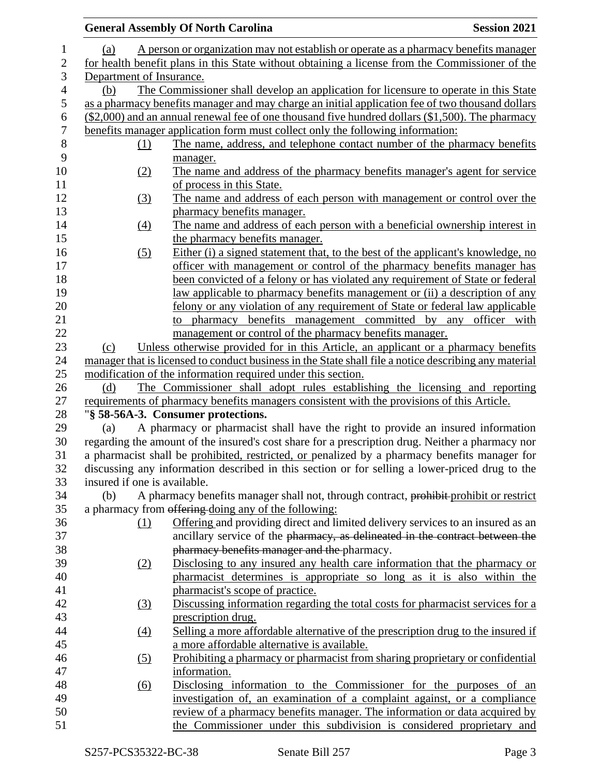|                  |                              | <b>General Assembly Of North Carolina</b>                                                             | <b>Session 2021</b> |  |
|------------------|------------------------------|-------------------------------------------------------------------------------------------------------|---------------------|--|
| $\mathbf{1}$     | (a)                          | A person or organization may not establish or operate as a pharmacy benefits manager                  |                     |  |
| $\mathbf{2}$     |                              | for health benefit plans in this State without obtaining a license from the Commissioner of the       |                     |  |
| $\mathfrak{Z}$   | Department of Insurance.     |                                                                                                       |                     |  |
| $\overline{4}$   | (b)                          | The Commissioner shall develop an application for licensure to operate in this State                  |                     |  |
| 5                |                              | as a pharmacy benefits manager and may charge an initial application fee of two thousand dollars      |                     |  |
| 6                |                              | (\$2,000) and an annual renewal fee of one thousand five hundred dollars (\$1,500). The pharmacy      |                     |  |
| $\boldsymbol{7}$ |                              | benefits manager application form must collect only the following information:                        |                     |  |
| 8                | (1)                          | The name, address, and telephone contact number of the pharmacy benefits                              |                     |  |
| 9                |                              | manager.                                                                                              |                     |  |
| 10               | (2)                          | The name and address of the pharmacy benefits manager's agent for service                             |                     |  |
| 11               |                              | of process in this State.                                                                             |                     |  |
| 12               | (3)                          | The name and address of each person with management or control over the                               |                     |  |
| 13               |                              | pharmacy benefits manager.                                                                            |                     |  |
| 14               | (4)                          | The name and address of each person with a beneficial ownership interest in                           |                     |  |
| 15               |                              | the pharmacy benefits manager.                                                                        |                     |  |
| 16               | (5)                          | Either (i) a signed statement that, to the best of the applicant's knowledge, no                      |                     |  |
| 17               |                              | officer with management or control of the pharmacy benefits manager has                               |                     |  |
| 18               |                              | been convicted of a felony or has violated any requirement of State or federal                        |                     |  |
| 19               |                              | law applicable to pharmacy benefits management or (ii) a description of any                           |                     |  |
| 20               |                              | felony or any violation of any requirement of State or federal law applicable                         |                     |  |
| 21               |                              | to pharmacy benefits management committed by any officer with                                         |                     |  |
| 22               |                              | management or control of the pharmacy benefits manager.                                               |                     |  |
| 23               | (c)                          | Unless otherwise provided for in this Article, an applicant or a pharmacy benefits                    |                     |  |
| 24               |                              | manager that is licensed to conduct business in the State shall file a notice describing any material |                     |  |
| 25               |                              | modification of the information required under this section.                                          |                     |  |
| 26               | (d)                          | The Commissioner shall adopt rules establishing the licensing and reporting                           |                     |  |
| 27               |                              | requirements of pharmacy benefits managers consistent with the provisions of this Article.            |                     |  |
| 28               |                              | "§ 58-56A-3. Consumer protections.                                                                    |                     |  |
| 29               | (a)                          | A pharmacy or pharmacist shall have the right to provide an insured information                       |                     |  |
| 30               |                              | regarding the amount of the insured's cost share for a prescription drug. Neither a pharmacy nor      |                     |  |
| 31               |                              | a pharmacist shall be prohibited, restricted, or penalized by a pharmacy benefits manager for         |                     |  |
| 32               |                              | discussing any information described in this section or for selling a lower-priced drug to the        |                     |  |
| 33               | insured if one is available. |                                                                                                       |                     |  |
| 34               | (b)                          | A pharmacy benefits manager shall not, through contract, prohibit-prohibit or restrict                |                     |  |
| 35               |                              | a pharmacy from offering doing any of the following:                                                  |                     |  |
| 36               | (1)                          | Offering and providing direct and limited delivery services to an insured as an                       |                     |  |
| 37               |                              | ancillary service of the pharmacy, as delineated in the contract between the                          |                     |  |
| 38               |                              | pharmacy benefits manager and the pharmacy.                                                           |                     |  |
| 39               | (2)                          | Disclosing to any insured any health care information that the pharmacy or                            |                     |  |
| 40               |                              | pharmacist determines is appropriate so long as it is also within the                                 |                     |  |
| 41               |                              | pharmacist's scope of practice.                                                                       |                     |  |
| 42               | (3)                          | Discussing information regarding the total costs for pharmacist services for a                        |                     |  |
| 43               |                              | prescription drug.                                                                                    |                     |  |
| 44               | $\left(4\right)$             | Selling a more affordable alternative of the prescription drug to the insured if                      |                     |  |
| 45               |                              | a more affordable alternative is available.                                                           |                     |  |
| 46               | $\left( 5\right)$            | Prohibiting a pharmacy or pharmacist from sharing proprietary or confidential                         |                     |  |
| 47               |                              | information.                                                                                          |                     |  |
| 48               | $\overline{(6)}$             | Disclosing information to the Commissioner for the purposes of an                                     |                     |  |
| 49               |                              | investigation of, an examination of a complaint against, or a compliance                              |                     |  |
| 50               |                              | review of a pharmacy benefits manager. The information or data acquired by                            |                     |  |
| 51               |                              | the Commissioner under this subdivision is considered proprietary and                                 |                     |  |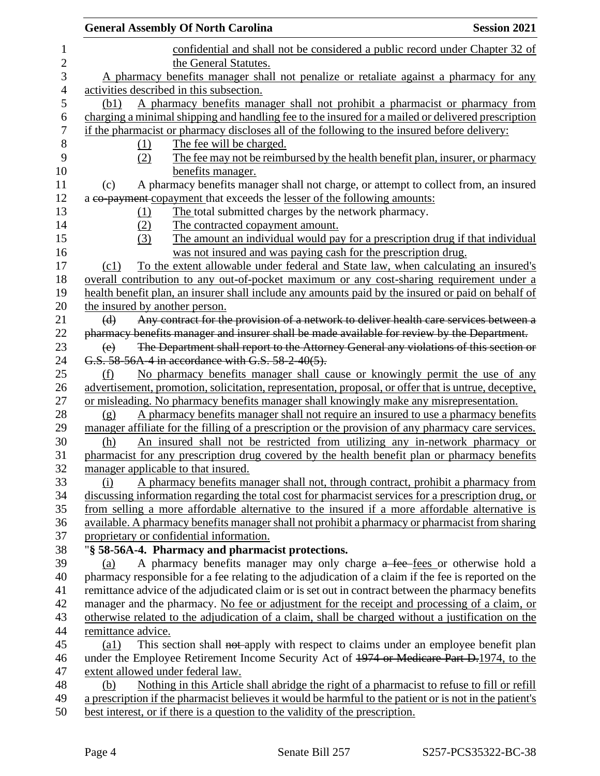|                                                                                        | <b>General Assembly Of North Carolina</b>                                                                                                                                                              | <b>Session 2021</b> |
|----------------------------------------------------------------------------------------|--------------------------------------------------------------------------------------------------------------------------------------------------------------------------------------------------------|---------------------|
|                                                                                        | confidential and shall not be considered a public record under Chapter 32 of                                                                                                                           |                     |
| the General Statutes.                                                                  |                                                                                                                                                                                                        |                     |
| A pharmacy benefits manager shall not penalize or retaliate against a pharmacy for any |                                                                                                                                                                                                        |                     |
|                                                                                        | activities described in this subsection.                                                                                                                                                               |                     |
| (b1)                                                                                   | A pharmacy benefits manager shall not prohibit a pharmacist or pharmacy from                                                                                                                           |                     |
|                                                                                        | charging a minimal shipping and handling fee to the insured for a mailed or delivered prescription                                                                                                     |                     |
|                                                                                        | if the pharmacist or pharmacy discloses all of the following to the insured before delivery:                                                                                                           |                     |
| (1)                                                                                    | The fee will be charged.                                                                                                                                                                               |                     |
| (2)                                                                                    | The fee may not be reimbursed by the health benefit plan, insurer, or pharmacy                                                                                                                         |                     |
|                                                                                        | benefits manager.                                                                                                                                                                                      |                     |
| (c)                                                                                    | A pharmacy benefits manager shall not charge, or attempt to collect from, an insured                                                                                                                   |                     |
|                                                                                        | a co-payment copayment that exceeds the lesser of the following amounts:                                                                                                                               |                     |
| (1)                                                                                    | The total submitted charges by the network pharmacy.                                                                                                                                                   |                     |
| (2)                                                                                    | The contracted copayment amount.                                                                                                                                                                       |                     |
| (3)                                                                                    | The amount an individual would pay for a prescription drug if that individual                                                                                                                          |                     |
|                                                                                        | was not insured and was paying cash for the prescription drug.                                                                                                                                         |                     |
| (c1)                                                                                   | To the extent allowable under federal and State law, when calculating an insured's                                                                                                                     |                     |
|                                                                                        | overall contribution to any out-of-pocket maximum or any cost-sharing requirement under a                                                                                                              |                     |
|                                                                                        | health benefit plan, an insurer shall include any amounts paid by the insured or paid on behalf of                                                                                                     |                     |
| the insured by another person.                                                         |                                                                                                                                                                                                        |                     |
| (d)                                                                                    | Any contract for the provision of a network to deliver health care services between a                                                                                                                  |                     |
|                                                                                        | pharmacy benefits manager and insurer shall be made available for review by the Department.                                                                                                            |                     |
| (e)                                                                                    | The Department shall report to the Attorney General any violations of this section or                                                                                                                  |                     |
|                                                                                        | G.S. 58-56A-4 in accordance with G.S. 58-2-40(5).                                                                                                                                                      |                     |
| (f)                                                                                    | No pharmacy benefits manager shall cause or knowingly permit the use of any                                                                                                                            |                     |
|                                                                                        | advertisement, promotion, solicitation, representation, proposal, or offer that is untrue, deceptive,                                                                                                  |                     |
|                                                                                        | or misleading. No pharmacy benefits manager shall knowingly make any misrepresentation.                                                                                                                |                     |
| (g)                                                                                    | A pharmacy benefits manager shall not require an insured to use a pharmacy benefits                                                                                                                    |                     |
|                                                                                        | manager affiliate for the filling of a prescription or the provision of any pharmacy care services.                                                                                                    |                     |
| (h)                                                                                    | An insured shall not be restricted from utilizing any in-network pharmacy or                                                                                                                           |                     |
|                                                                                        | pharmacist for any prescription drug covered by the health benefit plan or pharmacy benefits                                                                                                           |                     |
|                                                                                        | manager applicable to that insured.                                                                                                                                                                    |                     |
| (i)                                                                                    | A pharmacy benefits manager shall not, through contract, prohibit a pharmacy from                                                                                                                      |                     |
|                                                                                        | discussing information regarding the total cost for pharmacist services for a prescription drug, or                                                                                                    |                     |
|                                                                                        | from selling a more affordable alternative to the insured if a more affordable alternative is                                                                                                          |                     |
|                                                                                        | available. A pharmacy benefits manager shall not prohibit a pharmacy or pharmacist from sharing                                                                                                        |                     |
|                                                                                        | proprietary or confidential information.                                                                                                                                                               |                     |
|                                                                                        | "§ 58-56A-4. Pharmacy and pharmacist protections.                                                                                                                                                      |                     |
| (a)                                                                                    | A pharmacy benefits manager may only charge a fee-fees or otherwise hold a                                                                                                                             |                     |
|                                                                                        | pharmacy responsible for a fee relating to the adjudication of a claim if the fee is reported on the                                                                                                   |                     |
|                                                                                        | remittance advice of the adjudicated claim or is set out in contract between the pharmacy benefits                                                                                                     |                     |
|                                                                                        | manager and the pharmacy. No fee or adjustment for the receipt and processing of a claim, or                                                                                                           |                     |
|                                                                                        | otherwise related to the adjudication of a claim, shall be charged without a justification on the                                                                                                      |                     |
| remittance advice.                                                                     |                                                                                                                                                                                                        |                     |
| $\left( a1\right)$                                                                     | This section shall not apply with respect to claims under an employee benefit plan                                                                                                                     |                     |
|                                                                                        | under the Employee Retirement Income Security Act of 1974 or Medicare Part D.1974, to the                                                                                                              |                     |
|                                                                                        | extent allowed under federal law.                                                                                                                                                                      |                     |
| (b)                                                                                    | Nothing in this Article shall abridge the right of a pharmacist to refuse to fill or refill<br>a prescription if the pharmacist believes it would be harmful to the patient or is not in the patient's |                     |
|                                                                                        | best interest, or if there is a question to the validity of the prescription.                                                                                                                          |                     |
|                                                                                        |                                                                                                                                                                                                        |                     |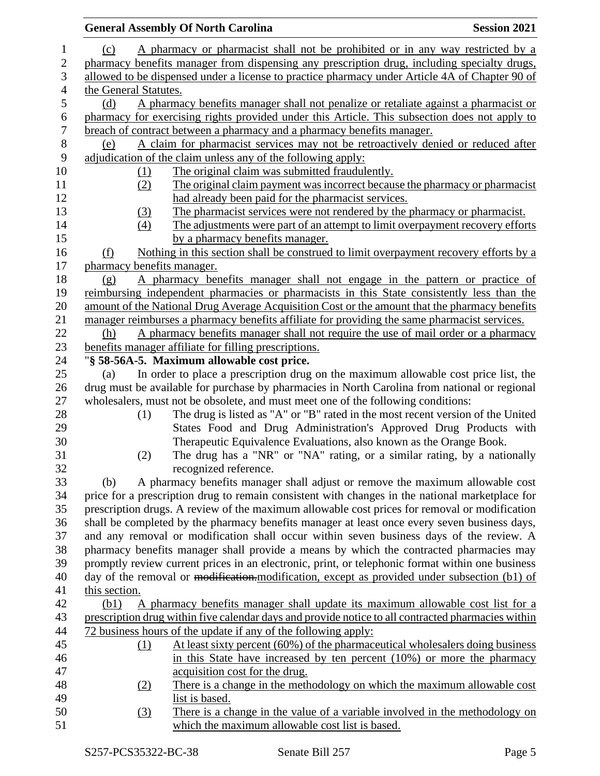|                |                                                                                                | <b>General Assembly Of North Carolina</b>             |                                                                                              | <b>Session 2021</b>                                                                                |
|----------------|------------------------------------------------------------------------------------------------|-------------------------------------------------------|----------------------------------------------------------------------------------------------|----------------------------------------------------------------------------------------------------|
| 1              | (c)                                                                                            |                                                       |                                                                                              | A pharmacy or pharmacist shall not be prohibited or in any way restricted by a                     |
| $\overline{c}$ |                                                                                                |                                                       |                                                                                              | pharmacy benefits manager from dispensing any prescription drug, including specialty drugs,        |
| 3              | allowed to be dispensed under a license to practice pharmacy under Article 4A of Chapter 90 of |                                                       |                                                                                              |                                                                                                    |
| 4              | the General Statutes.                                                                          |                                                       |                                                                                              |                                                                                                    |
| 5              | (d)                                                                                            |                                                       |                                                                                              | A pharmacy benefits manager shall not penalize or retaliate against a pharmacist or                |
| 6              |                                                                                                |                                                       |                                                                                              | pharmacy for exercising rights provided under this Article. This subsection does not apply to      |
| $\overline{7}$ |                                                                                                |                                                       | breach of contract between a pharmacy and a pharmacy benefits manager.                       |                                                                                                    |
| $8\,$          | (e)                                                                                            |                                                       |                                                                                              | A claim for pharmacist services may not be retroactively denied or reduced after                   |
| 9              |                                                                                                |                                                       | adjudication of the claim unless any of the following apply:                                 |                                                                                                    |
| 10             | (1)                                                                                            |                                                       | The original claim was submitted fraudulently.                                               |                                                                                                    |
| 11             | (2)                                                                                            |                                                       |                                                                                              | The original claim payment was incorrect because the pharmacy or pharmacist                        |
| 12             |                                                                                                |                                                       | had already been paid for the pharmacist services.                                           |                                                                                                    |
| 13             | (3)                                                                                            |                                                       | The pharmacist services were not rendered by the pharmacy or pharmacist.                     |                                                                                                    |
| 14             | (4)                                                                                            |                                                       |                                                                                              | The adjustments were part of an attempt to limit overpayment recovery efforts                      |
| 15             |                                                                                                |                                                       | by a pharmacy benefits manager.                                                              |                                                                                                    |
| 16             | (f)                                                                                            |                                                       |                                                                                              | Nothing in this section shall be construed to limit overpayment recovery efforts by a              |
| 17             | pharmacy benefits manager.                                                                     |                                                       |                                                                                              |                                                                                                    |
| 18             | (g)                                                                                            |                                                       |                                                                                              | A pharmacy benefits manager shall not engage in the pattern or practice of                         |
| 19             |                                                                                                |                                                       |                                                                                              | reimbursing independent pharmacies or pharmacists in this State consistently less than the         |
| 20             |                                                                                                |                                                       |                                                                                              | amount of the National Drug Average Acquisition Cost or the amount that the pharmacy benefits      |
| 21             |                                                                                                |                                                       | manager reimburses a pharmacy benefits affiliate for providing the same pharmacist services. |                                                                                                    |
| 22             | (h)                                                                                            |                                                       |                                                                                              | A pharmacy benefits manager shall not require the use of mail order or a pharmacy                  |
| 23             |                                                                                                | benefits manager affiliate for filling prescriptions. |                                                                                              |                                                                                                    |
| 24             |                                                                                                | "§ 58-56A-5. Maximum allowable cost price.            |                                                                                              |                                                                                                    |
| 25             | (a)                                                                                            |                                                       |                                                                                              | In order to place a prescription drug on the maximum allowable cost price list, the                |
| 26             |                                                                                                |                                                       |                                                                                              | drug must be available for purchase by pharmacies in North Carolina from national or regional      |
| 27             |                                                                                                |                                                       | wholesalers, must not be obsolete, and must meet one of the following conditions:            |                                                                                                    |
| 28             | (1)                                                                                            |                                                       |                                                                                              | The drug is listed as "A" or "B" rated in the most recent version of the United                    |
| 29             |                                                                                                |                                                       |                                                                                              | States Food and Drug Administration's Approved Drug Products with                                  |
| 30             |                                                                                                |                                                       | Therapeutic Equivalence Evaluations, also known as the Orange Book.                          |                                                                                                    |
| 31             | (2)                                                                                            |                                                       |                                                                                              | The drug has a "NR" or "NA" rating, or a similar rating, by a nationally                           |
| 32             |                                                                                                | recognized reference.                                 |                                                                                              |                                                                                                    |
| 33             | (b)                                                                                            |                                                       |                                                                                              | A pharmacy benefits manager shall adjust or remove the maximum allowable cost                      |
| 34             |                                                                                                |                                                       |                                                                                              | price for a prescription drug to remain consistent with changes in the national marketplace for    |
| 35             |                                                                                                |                                                       |                                                                                              | prescription drugs. A review of the maximum allowable cost prices for removal or modification      |
| 36             |                                                                                                |                                                       |                                                                                              | shall be completed by the pharmacy benefits manager at least once every seven business days,       |
| 37             |                                                                                                |                                                       |                                                                                              | and any removal or modification shall occur within seven business days of the review. A            |
| 38             |                                                                                                |                                                       |                                                                                              | pharmacy benefits manager shall provide a means by which the contracted pharmacies may             |
| 39             |                                                                                                |                                                       |                                                                                              | promptly review current prices in an electronic, print, or telephonic format within one business   |
| 40             |                                                                                                |                                                       |                                                                                              | day of the removal or modification. modification, except as provided under subsection (b1) of      |
| 41             | this section.                                                                                  |                                                       |                                                                                              |                                                                                                    |
| 42             | (b1)                                                                                           |                                                       |                                                                                              | A pharmacy benefits manager shall update its maximum allowable cost list for a                     |
| 43             |                                                                                                |                                                       |                                                                                              | prescription drug within five calendar days and provide notice to all contracted pharmacies within |
| 44             |                                                                                                |                                                       | 72 business hours of the update if any of the following apply:                               |                                                                                                    |
| 45             | (1)                                                                                            |                                                       |                                                                                              | At least sixty percent (60%) of the pharmaceutical wholesalers doing business                      |
| 46             |                                                                                                |                                                       |                                                                                              | in this State have increased by ten percent $(10%)$ or more the pharmacy                           |
| 47             |                                                                                                |                                                       | acquisition cost for the drug.                                                               |                                                                                                    |
| 48             | (2)                                                                                            |                                                       |                                                                                              | There is a change in the methodology on which the maximum allowable cost                           |
| 49             |                                                                                                | list is based.                                        |                                                                                              |                                                                                                    |
| 50             | $\left(3\right)$                                                                               |                                                       |                                                                                              | There is a change in the value of a variable involved in the methodology on                        |
| 51             |                                                                                                |                                                       | which the maximum allowable cost list is based.                                              |                                                                                                    |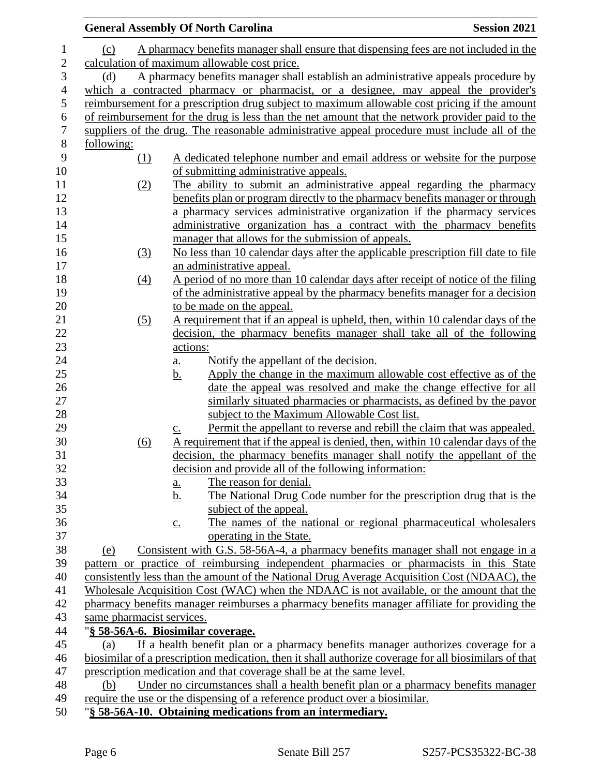|                |                                                                                           | <b>General Assembly Of North Carolina</b>                                                                            | <b>Session 2021</b> |
|----------------|-------------------------------------------------------------------------------------------|----------------------------------------------------------------------------------------------------------------------|---------------------|
| 1              | (c)                                                                                       | A pharmacy benefits manager shall ensure that dispensing fees are not included in the                                |                     |
| $\mathbf{2}$   | calculation of maximum allowable cost price.                                              |                                                                                                                      |                     |
| 3              | A pharmacy benefits manager shall establish an administrative appeals procedure by<br>(d) |                                                                                                                      |                     |
| $\overline{4}$ |                                                                                           | which a contracted pharmacy or pharmacist, or a designee, may appeal the provider's                                  |                     |
| 5              |                                                                                           | reimbursement for a prescription drug subject to maximum allowable cost pricing if the amount                        |                     |
| 6              |                                                                                           | of reimbursement for the drug is less than the net amount that the network provider paid to the                      |                     |
| $\overline{7}$ |                                                                                           | suppliers of the drug. The reasonable administrative appeal procedure must include all of the                        |                     |
| 8              | following:                                                                                |                                                                                                                      |                     |
| 9              | (1)                                                                                       | A dedicated telephone number and email address or website for the purpose                                            |                     |
| 10             |                                                                                           | of submitting administrative appeals.                                                                                |                     |
| 11             | (2)                                                                                       | The ability to submit an administrative appeal regarding the pharmacy                                                |                     |
| 12             |                                                                                           | benefits plan or program directly to the pharmacy benefits manager or through                                        |                     |
| 13             |                                                                                           | a pharmacy services administrative organization if the pharmacy services                                             |                     |
| 14             |                                                                                           | administrative organization has a contract with the pharmacy benefits                                                |                     |
| 15             |                                                                                           | manager that allows for the submission of appeals.                                                                   |                     |
| 16             | (3)                                                                                       | No less than 10 calendar days after the applicable prescription fill date to file                                    |                     |
| 17             |                                                                                           | an administrative appeal.                                                                                            |                     |
| 18             | (4)                                                                                       | A period of no more than 10 calendar days after receipt of notice of the filing                                      |                     |
| 19             |                                                                                           | of the administrative appeal by the pharmacy benefits manager for a decision                                         |                     |
| 20             |                                                                                           | to be made on the appeal.                                                                                            |                     |
| 21             | (5)                                                                                       | A requirement that if an appeal is upheld, then, within 10 calendar days of the                                      |                     |
| 22             |                                                                                           | decision, the pharmacy benefits manager shall take all of the following                                              |                     |
| 23             |                                                                                           | actions:                                                                                                             |                     |
| 24             |                                                                                           | Notify the appellant of the decision.<br><u>a.</u>                                                                   |                     |
| 25             |                                                                                           | Apply the change in the maximum allowable cost effective as of the<br><u>b.</u>                                      |                     |
| 26<br>27       |                                                                                           | date the appeal was resolved and make the change effective for all                                                   |                     |
| 28             |                                                                                           | similarly situated pharmacies or pharmacists, as defined by the payor<br>subject to the Maximum Allowable Cost list. |                     |
| 29             |                                                                                           | Permit the appellant to reverse and rebill the claim that was appealed.                                              |                     |
| 30             | (6)                                                                                       | $\underline{c}$ .<br>A requirement that if the appeal is denied, then, within 10 calendar days of the                |                     |
| 31             |                                                                                           | decision, the pharmacy benefits manager shall notify the appellant of the                                            |                     |
| 32             |                                                                                           | decision and provide all of the following information:                                                               |                     |
| 33             |                                                                                           | The reason for denial.<br>$\underline{a}$ .                                                                          |                     |
| 34             |                                                                                           | The National Drug Code number for the prescription drug that is the<br><u>b.</u>                                     |                     |
| 35             |                                                                                           | subject of the appeal.                                                                                               |                     |
| 36             |                                                                                           | The names of the national or regional pharmaceutical wholesalers<br>$\underline{c}$ .                                |                     |
| 37             |                                                                                           | operating in the State.                                                                                              |                     |
| 38             | (e)                                                                                       | Consistent with G.S. 58-56A-4, a pharmacy benefits manager shall not engage in a                                     |                     |
| 39             |                                                                                           | pattern or practice of reimbursing independent pharmacies or pharmacists in this State                               |                     |
| 40             |                                                                                           | consistently less than the amount of the National Drug Average Acquisition Cost (NDAAC), the                         |                     |
| 41             |                                                                                           | Wholesale Acquisition Cost (WAC) when the NDAAC is not available, or the amount that the                             |                     |
| 42             |                                                                                           | pharmacy benefits manager reimburses a pharmacy benefits manager affiliate for providing the                         |                     |
| 43             | same pharmacist services.                                                                 |                                                                                                                      |                     |
| 44             |                                                                                           | "§ 58-56A-6. Biosimilar coverage.                                                                                    |                     |
| 45             | (a)                                                                                       | If a health benefit plan or a pharmacy benefits manager authorizes coverage for a                                    |                     |
| 46             |                                                                                           | biosimilar of a prescription medication, then it shall authorize coverage for all biosimilars of that                |                     |
| 47             |                                                                                           | prescription medication and that coverage shall be at the same level.                                                |                     |
| 48             | (b)                                                                                       | Under no circumstances shall a health benefit plan or a pharmacy benefits manager                                    |                     |
| 49             |                                                                                           | require the use or the dispensing of a reference product over a biosimilar.                                          |                     |
| 50             |                                                                                           | "§ 58-56A-10. Obtaining medications from an intermediary.                                                            |                     |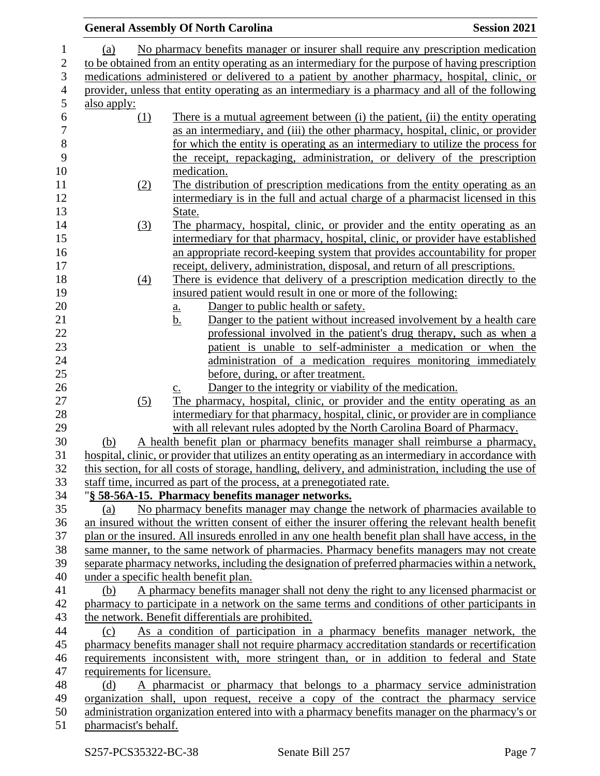|                |                                                                                                                                                                                         | <b>General Assembly Of North Carolina</b>                                                             | <b>Session 2021</b> |  |
|----------------|-----------------------------------------------------------------------------------------------------------------------------------------------------------------------------------------|-------------------------------------------------------------------------------------------------------|---------------------|--|
| 1              | (a)                                                                                                                                                                                     | No pharmacy benefits manager or insurer shall require any prescription medication                     |                     |  |
| $\overline{c}$ | to be obtained from an entity operating as an intermediary for the purpose of having prescription                                                                                       |                                                                                                       |                     |  |
| 3              | medications administered or delivered to a patient by another pharmacy, hospital, clinic, or                                                                                            |                                                                                                       |                     |  |
| $\overline{4}$ |                                                                                                                                                                                         | provider, unless that entity operating as an intermediary is a pharmacy and all of the following      |                     |  |
| 5              | also apply:                                                                                                                                                                             |                                                                                                       |                     |  |
| 6              | (1)                                                                                                                                                                                     | There is a mutual agreement between (i) the patient, (ii) the entity operating                        |                     |  |
| $\overline{7}$ |                                                                                                                                                                                         | as an intermediary, and (iii) the other pharmacy, hospital, clinic, or provider                       |                     |  |
| $\,8\,$        |                                                                                                                                                                                         | for which the entity is operating as an intermediary to utilize the process for                       |                     |  |
| 9              |                                                                                                                                                                                         | the receipt, repackaging, administration, or delivery of the prescription                             |                     |  |
| 10             |                                                                                                                                                                                         | medication.                                                                                           |                     |  |
| 11             | (2)                                                                                                                                                                                     | The distribution of prescription medications from the entity operating as an                          |                     |  |
| 12             |                                                                                                                                                                                         | intermediary is in the full and actual charge of a pharmacist licensed in this                        |                     |  |
| 13             |                                                                                                                                                                                         |                                                                                                       |                     |  |
|                |                                                                                                                                                                                         | State.                                                                                                |                     |  |
| 14             | (3)                                                                                                                                                                                     | The pharmacy, hospital, clinic, or provider and the entity operating as an                            |                     |  |
| 15             |                                                                                                                                                                                         | intermediary for that pharmacy, hospital, clinic, or provider have established                        |                     |  |
| 16             |                                                                                                                                                                                         | an appropriate record-keeping system that provides accountability for proper                          |                     |  |
| 17             |                                                                                                                                                                                         | receipt, delivery, administration, disposal, and return of all prescriptions.                         |                     |  |
| 18             | $\left(4\right)$                                                                                                                                                                        | There is evidence that delivery of a prescription medication directly to the                          |                     |  |
| 19             |                                                                                                                                                                                         | insured patient would result in one or more of the following:                                         |                     |  |
| 20             |                                                                                                                                                                                         | Danger to public health or safety.<br><u>a.</u>                                                       |                     |  |
| 21             |                                                                                                                                                                                         | Danger to the patient without increased involvement by a health care<br><u>b.</u>                     |                     |  |
| 22             |                                                                                                                                                                                         | professional involved in the patient's drug therapy, such as when a                                   |                     |  |
| 23             |                                                                                                                                                                                         | patient is unable to self-administer a medication or when the                                         |                     |  |
| 24             |                                                                                                                                                                                         | administration of a medication requires monitoring immediately                                        |                     |  |
| 25             |                                                                                                                                                                                         | before, during, or after treatment.                                                                   |                     |  |
| 26             |                                                                                                                                                                                         | Danger to the integrity or viability of the medication.<br>$\underline{C}$ .                          |                     |  |
| 27             | (5)                                                                                                                                                                                     | The pharmacy, hospital, clinic, or provider and the entity operating as an                            |                     |  |
| 28             |                                                                                                                                                                                         | intermediary for that pharmacy, hospital, clinic, or provider are in compliance                       |                     |  |
| 29             |                                                                                                                                                                                         | with all relevant rules adopted by the North Carolina Board of Pharmacy.                              |                     |  |
| 30             | (b)                                                                                                                                                                                     | A health benefit plan or pharmacy benefits manager shall reimburse a pharmacy,                        |                     |  |
| 31             |                                                                                                                                                                                         | hospital, clinic, or provider that utilizes an entity operating as an intermediary in accordance with |                     |  |
| 32             |                                                                                                                                                                                         | this section, for all costs of storage, handling, delivery, and administration, including the use of  |                     |  |
| 33             |                                                                                                                                                                                         | staff time, incurred as part of the process, at a prenegotiated rate.                                 |                     |  |
| 34             |                                                                                                                                                                                         | "§ 58-56A-15. Pharmacy benefits manager networks.                                                     |                     |  |
| 35             | (a)                                                                                                                                                                                     | No pharmacy benefits manager may change the network of pharmacies available to                        |                     |  |
| 36             |                                                                                                                                                                                         | an insured without the written consent of either the insurer offering the relevant health benefit     |                     |  |
| 37             |                                                                                                                                                                                         | plan or the insured. All insureds enrolled in any one health benefit plan shall have access, in the   |                     |  |
| 38             |                                                                                                                                                                                         | same manner, to the same network of pharmacies. Pharmacy benefits managers may not create             |                     |  |
| 39             |                                                                                                                                                                                         | separate pharmacy networks, including the designation of preferred pharmacies within a network,       |                     |  |
| 40             |                                                                                                                                                                                         | under a specific health benefit plan.                                                                 |                     |  |
| 41             | (b)                                                                                                                                                                                     | A pharmacy benefits manager shall not deny the right to any licensed pharmacist or                    |                     |  |
| 42             |                                                                                                                                                                                         | pharmacy to participate in a network on the same terms and conditions of other participants in        |                     |  |
| 43             |                                                                                                                                                                                         | the network. Benefit differentials are prohibited.                                                    |                     |  |
| 44             | (c)                                                                                                                                                                                     | As a condition of participation in a pharmacy benefits manager network, the                           |                     |  |
| 45             |                                                                                                                                                                                         | pharmacy benefits manager shall not require pharmacy accreditation standards or recertification       |                     |  |
| 46             |                                                                                                                                                                                         | requirements inconsistent with, more stringent than, or in addition to federal and State              |                     |  |
| 47             | requirements for licensure.                                                                                                                                                             |                                                                                                       |                     |  |
| 48             | (d)                                                                                                                                                                                     | A pharmacist or pharmacy that belongs to a pharmacy service administration                            |                     |  |
| 49             |                                                                                                                                                                                         |                                                                                                       |                     |  |
| 50             | organization shall, upon request, receive a copy of the contract the pharmacy service<br>administration organization entered into with a pharmacy benefits manager on the pharmacy's or |                                                                                                       |                     |  |
| 51             | pharmacist's behalf.                                                                                                                                                                    |                                                                                                       |                     |  |
|                |                                                                                                                                                                                         |                                                                                                       |                     |  |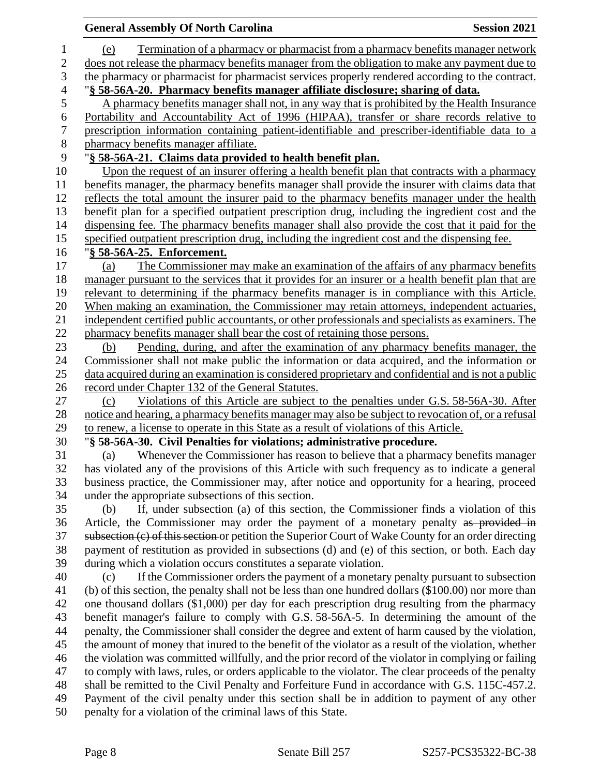|                  | <b>General Assembly Of North Carolina</b><br><b>Session 2021</b>                                                                                   |  |
|------------------|----------------------------------------------------------------------------------------------------------------------------------------------------|--|
| $\mathbf{1}$     | Termination of a pharmacy or pharmacist from a pharmacy benefits manager network<br>(e)                                                            |  |
| 2                | does not release the pharmacy benefits manager from the obligation to make any payment due to                                                      |  |
| 3                | the pharmacy or pharmacist for pharmacist services properly rendered according to the contract.                                                    |  |
| $\overline{4}$   | § 58-56A-20. Pharmacy benefits manager affiliate disclosure; sharing of data.                                                                      |  |
| 5                | A pharmacy benefits manager shall not, in any way that is prohibited by the Health Insurance                                                       |  |
| 6                | Portability and Accountability Act of 1996 (HIPAA), transfer or share records relative to                                                          |  |
| $\boldsymbol{7}$ | prescription information containing patient-identifiable and prescriber-identifiable data to a                                                     |  |
| $8\,$            | pharmacy benefits manager affiliate.                                                                                                               |  |
| 9                | "§ 58-56A-21. Claims data provided to health benefit plan.                                                                                         |  |
| 10               | Upon the request of an insurer offering a health benefit plan that contracts with a pharmacy                                                       |  |
| 11               | benefits manager, the pharmacy benefits manager shall provide the insurer with claims data that                                                    |  |
| 12               | reflects the total amount the insurer paid to the pharmacy benefits manager under the health                                                       |  |
| 13               | benefit plan for a specified outpatient prescription drug, including the ingredient cost and the                                                   |  |
| 14               | dispensing fee. The pharmacy benefits manager shall also provide the cost that it paid for the                                                     |  |
| 15               | specified outpatient prescription drug, including the ingredient cost and the dispensing fee.                                                      |  |
| 16               | "§ 58-56A-25. Enforcement.                                                                                                                         |  |
| 17               | The Commissioner may make an examination of the affairs of any pharmacy benefits<br>(a)                                                            |  |
| 18               | manager pursuant to the services that it provides for an insurer or a health benefit plan that are                                                 |  |
| 19               | relevant to determining if the pharmacy benefits manager is in compliance with this Article.                                                       |  |
| 20               | When making an examination, the Commissioner may retain attorneys, independent actuaries,                                                          |  |
| 21               | independent certified public accountants, or other professionals and specialists as examiners. The                                                 |  |
| 22               | pharmacy benefits manager shall bear the cost of retaining those persons.                                                                          |  |
| 23               | Pending, during, and after the examination of any pharmacy benefits manager, the<br>(b)                                                            |  |
| 24               | Commissioner shall not make public the information or data acquired, and the information or                                                        |  |
| 25               | data acquired during an examination is considered proprietary and confidential and is not a public                                                 |  |
| 26               | record under Chapter 132 of the General Statutes.                                                                                                  |  |
| 27               | Violations of this Article are subject to the penalties under G.S. 58-56A-30. After<br>(c)                                                         |  |
| 28               | notice and hearing, a pharmacy benefits manager may also be subject to revocation of, or a refusal                                                 |  |
| 29               | to renew, a license to operate in this State as a result of violations of this Article.                                                            |  |
| 30               | "§ 58-56A-30. Civil Penalties for violations; administrative procedure.                                                                            |  |
| 31<br>32         | Whenever the Commissioner has reason to believe that a pharmacy benefits manager<br>(a)                                                            |  |
| 33               | has violated any of the provisions of this Article with such frequency as to indicate a general                                                    |  |
| 34               | business practice, the Commissioner may, after notice and opportunity for a hearing, proceed<br>under the appropriate subsections of this section. |  |
| 35               | If, under subsection (a) of this section, the Commissioner finds a violation of this<br>(b)                                                        |  |
| 36               | Article, the Commissioner may order the payment of a monetary penalty as provided in                                                               |  |
| 37               | subsection (c) of this section or petition the Superior Court of Wake County for an order directing                                                |  |
| 38               | payment of restitution as provided in subsections (d) and (e) of this section, or both. Each day                                                   |  |
| 39               | during which a violation occurs constitutes a separate violation.                                                                                  |  |
| 40               | If the Commissioner orders the payment of a monetary penalty pursuant to subsection<br>(c)                                                         |  |
| 41               | (b) of this section, the penalty shall not be less than one hundred dollars (\$100.00) nor more than                                               |  |
| 42               | one thousand dollars (\$1,000) per day for each prescription drug resulting from the pharmacy                                                      |  |
| 43               | benefit manager's failure to comply with G.S. 58-56A-5. In determining the amount of the                                                           |  |
| 44               | penalty, the Commissioner shall consider the degree and extent of harm caused by the violation,                                                    |  |
| 45               | the amount of money that inured to the benefit of the violator as a result of the violation, whether                                               |  |
| 46               | the violation was committed willfully, and the prior record of the violator in complying or failing                                                |  |
| 47               | to comply with laws, rules, or orders applicable to the violator. The clear proceeds of the penalty                                                |  |
| 48               | shall be remitted to the Civil Penalty and Forfeiture Fund in accordance with G.S. 115C-457.2.                                                     |  |
| 49               | Payment of the civil penalty under this section shall be in addition to payment of any other                                                       |  |
| 50               | penalty for a violation of the criminal laws of this State.                                                                                        |  |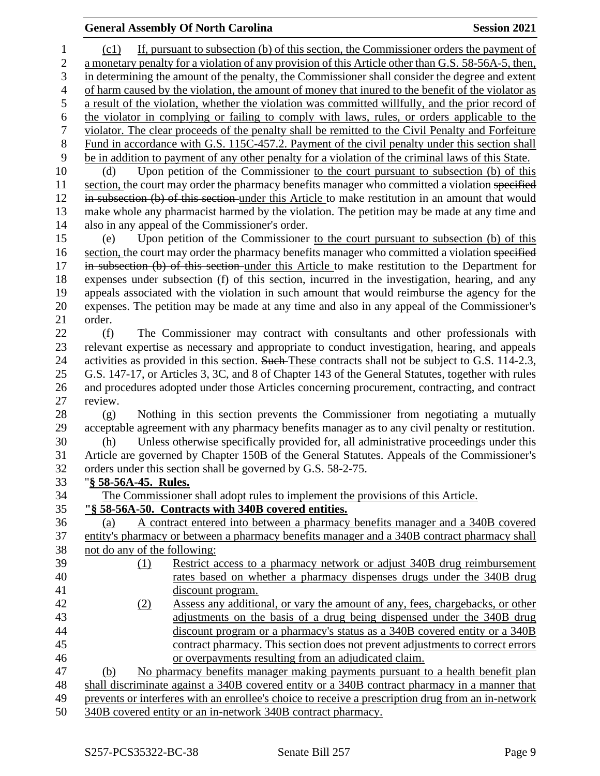## **General Assembly Of North Carolina Session 2021**

 (c1) If, pursuant to subsection (b) of this section, the Commissioner orders the payment of a monetary penalty for a violation of any provision of this Article other than G.S. 58-56A-5, then, in determining the amount of the penalty, the Commissioner shall consider the degree and extent of harm caused by the violation, the amount of money that inured to the benefit of the violator as a result of the violation, whether the violation was committed willfully, and the prior record of the violator in complying or failing to comply with laws, rules, or orders applicable to the violator. The clear proceeds of the penalty shall be remitted to the Civil Penalty and Forfeiture Fund in accordance with G.S. 115C-457.2. Payment of the civil penalty under this section shall be in addition to payment of any other penalty for a violation of the criminal laws of this State. (d) Upon petition of the Commissioner to the court pursuant to subsection (b) of this 11 section, the court may order the pharmacy benefits manager who committed a violation specified 12 in subsection (b) of this section under this Article to make restitution in an amount that would make whole any pharmacist harmed by the violation. The petition may be made at any time and also in any appeal of the Commissioner's order. (e) Upon petition of the Commissioner to the court pursuant to subsection (b) of this 16 section, the court may order the pharmacy benefits manager who committed a violation specified in subsection (b) of this section under this Article to make restitution to the Department for expenses under subsection (f) of this section, incurred in the investigation, hearing, and any appeals associated with the violation in such amount that would reimburse the agency for the expenses. The petition may be made at any time and also in any appeal of the Commissioner's order. (f) The Commissioner may contract with consultants and other professionals with relevant expertise as necessary and appropriate to conduct investigation, hearing, and appeals 24 activities as provided in this section. Such These contracts shall not be subject to G.S. 114-2.3, G.S. 147-17, or Articles 3, 3C, and 8 of Chapter 143 of the General Statutes, together with rules and procedures adopted under those Articles concerning procurement, contracting, and contract review. (g) Nothing in this section prevents the Commissioner from negotiating a mutually acceptable agreement with any pharmacy benefits manager as to any civil penalty or restitution. (h) Unless otherwise specifically provided for, all administrative proceedings under this Article are governed by Chapter 150B of the General Statutes. Appeals of the Commissioner's orders under this section shall be governed by G.S. 58-2-75. "**§ 58-56A-45. Rules.** The Commissioner shall adopt rules to implement the provisions of this Article. **"§ 58-56A-50. Contracts with 340B covered entities.** (a) A contract entered into between a pharmacy benefits manager and a 340B covered entity's pharmacy or between a pharmacy benefits manager and a 340B contract pharmacy shall not do any of the following: (1) Restrict access to a pharmacy network or adjust 340B drug reimbursement rates based on whether a pharmacy dispenses drugs under the 340B drug discount program. (2) Assess any additional, or vary the amount of any, fees, chargebacks, or other adjustments on the basis of a drug being dispensed under the 340B drug discount program or a pharmacy's status as a 340B covered entity or a 340B contract pharmacy. This section does not prevent adjustments to correct errors or overpayments resulting from an adjudicated claim. (b) No pharmacy benefits manager making payments pursuant to a health benefit plan shall discriminate against a 340B covered entity or a 340B contract pharmacy in a manner that prevents or interferes with an enrollee's choice to receive a prescription drug from an in-network 340B covered entity or an in-network 340B contract pharmacy.